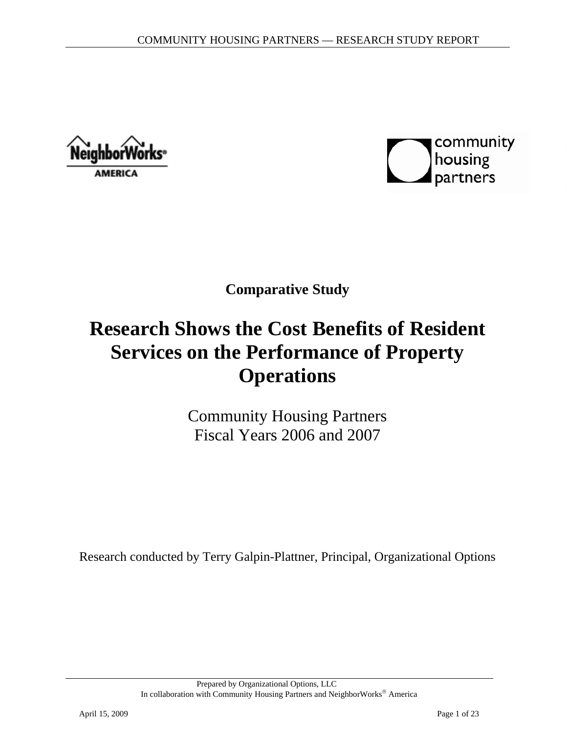Neighborv **AMERICA** 



**Comparative Study** 

# **Research Shows the Cost Benefits of Resident Services on the Performance of Property Operations**

Community Housing Partners Fiscal Years 2006 and 2007

Research conducted by Terry Galpin-Plattner, Principal, Organizational Options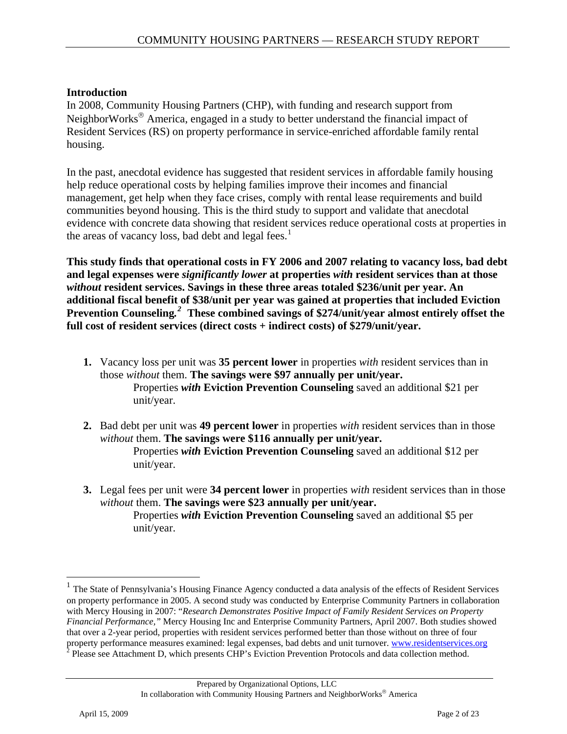#### **Introduction**

In 2008, Community Housing Partners (CHP), with funding and research support from NeighborWorks<sup>®</sup> America, engaged in a study to better understand the financial impact of Resident Services (RS) on property performance in service-enriched affordable family rental housing.

In the past, anecdotal evidence has suggested that resident services in affordable family housing help reduce operational costs by helping families improve their incomes and financial management, get help when they face crises, comply with rental lease requirements and build communities beyond housing. This is the third study to support and validate that anecdotal evidence with concrete data showing that resident services reduce operational costs at properties in the areas of vacancy loss, bad debt and legal fees. $<sup>1</sup>$  $<sup>1</sup>$  $<sup>1</sup>$ </sup>

**This study finds that operational costs in FY 2006 and 2007 relating to vacancy loss, bad debt and legal expenses were** *significantly lower* **at properties** *with* **resident services than at those** *without* **resident services. Savings in these three areas totaled \$236/unit per year. An additional fiscal benefit of \$38/unit per year was gained at properties that included Eviction Prevention Counseling***. [2](#page-1-1)*  **These combined savings of \$274/unit/year almost entirely offset the full cost of resident services (direct costs + indirect costs) of \$279/unit/year.** 

- **1.** Vacancy loss per unit was **35 percent lower** in properties *with* resident services than in those *without* them. **The savings were \$97 annually per unit/year.**  Properties *with* **Eviction Prevention Counseling** saved an additional \$21 per unit/year.
- **2.** Bad debt per unit was **49 percent lower** in properties *with* resident services than in those *without* them. **The savings were \$116 annually per unit/year.**  Properties *with* **Eviction Prevention Counseling** saved an additional \$12 per unit/year.
- **3.** Legal fees per unit were **34 percent lower** in properties *with* resident services than in those *without* them. **The savings were \$23 annually per unit/year.** Properties *with* **Eviction Prevention Counseling** saved an additional \$5 per unit/year.

 $\overline{a}$ 

<span id="page-1-1"></span><span id="page-1-0"></span><sup>&</sup>lt;sup>1</sup> The State of Pennsylvania's Housing Finance Agency conducted a data analysis of the effects of Resident Services on property performance in 2005. A second study was conducted by Enterprise Community Partners in collaboration with Mercy Housing in 2007: "*Research Demonstrates Positive Impact of Family Resident Services on Property Financial Performance,"* Mercy Housing Inc and Enterprise Community Partners, April 2007. Both studies showed that over a 2-year period, properties with resident services performed better than those without on three of four property performance measures examined: legal expenses, bad debts and unit turnover. [www.residentservices.org](http://www.residentservices.org/)<br><sup>2</sup> Please see Attachment D, which presents CHP's Eviction Prevention Protocols and data collection method.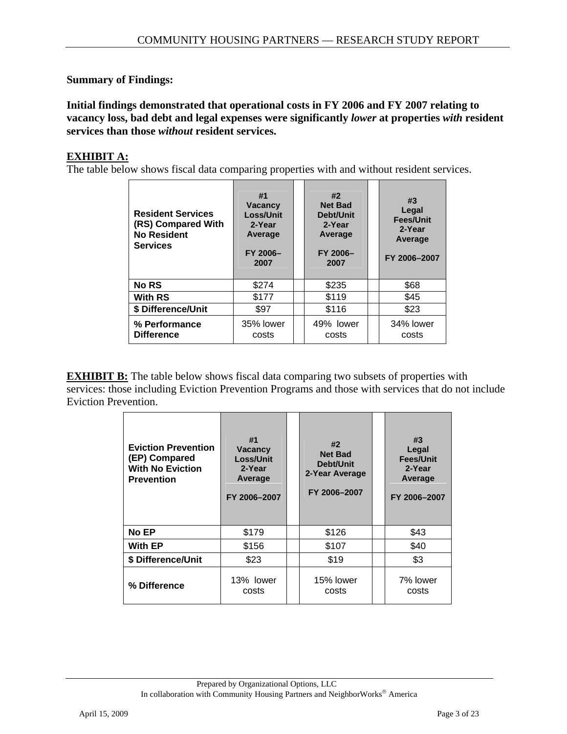#### **Summary of Findings:**

**Initial findings demonstrated that operational costs in FY 2006 and FY 2007 relating to vacancy loss, bad debt and legal expenses were significantly** *lower* **at properties** *with* **resident services than those** *without* **resident services.** 

#### **EXHIBIT A:**

The table below shows fiscal data comparing properties with and without resident services.

| <b>Resident Services</b><br>(RS) Compared With<br><b>No Resident</b><br><b>Services</b> | #1<br><b>Vacancy</b><br>Loss/Unit<br>2-Year<br>Average<br>FY 2006-<br>2007 | #2<br><b>Net Bad</b><br>Debt/Unit<br>2-Year<br>Average<br>FY 2006-<br>2007 | #3<br>Legal<br><b>Fees/Unit</b><br>2-Year<br>Average<br>FY 2006-2007 |
|-----------------------------------------------------------------------------------------|----------------------------------------------------------------------------|----------------------------------------------------------------------------|----------------------------------------------------------------------|
| <b>No RS</b>                                                                            | \$274                                                                      | \$235                                                                      | \$68                                                                 |
| <b>With RS</b>                                                                          | \$177                                                                      | \$119                                                                      | \$45                                                                 |
| \$ Difference/Unit                                                                      | \$97                                                                       | \$116                                                                      | \$23                                                                 |
| % Performance<br><b>Difference</b>                                                      | 35% lower<br>costs                                                         | 49% lower<br>costs                                                         | 34% lower<br>costs                                                   |

**EXHIBIT B:** The table below shows fiscal data comparing two subsets of properties with services: those including Eviction Prevention Programs and those with services that do not include Eviction Prevention.

| <b>Eviction Prevention</b><br>(EP) Compared<br><b>With No Eviction</b><br><b>Prevention</b> | #1<br>Vacancy<br><b>Loss/Unit</b><br>2-Year<br>Average<br>FY 2006-2007 | #2<br><b>Net Bad</b><br>Debt/Unit<br>2-Year Average<br>FY 2006-2007 |  | #3<br>Legal<br><b>Fees/Unit</b><br>2-Year<br>Average<br>FY 2006-2007 |
|---------------------------------------------------------------------------------------------|------------------------------------------------------------------------|---------------------------------------------------------------------|--|----------------------------------------------------------------------|
| <b>No EP</b>                                                                                | \$179                                                                  | \$126                                                               |  | \$43                                                                 |
| <b>With EP</b>                                                                              | \$156                                                                  | \$107                                                               |  | \$40                                                                 |
| \$ Difference/Unit                                                                          | \$23                                                                   | \$19                                                                |  | \$3                                                                  |
| % Difference                                                                                | 13% lower<br>costs                                                     | 15% lower<br>costs                                                  |  | 7% lower<br>costs                                                    |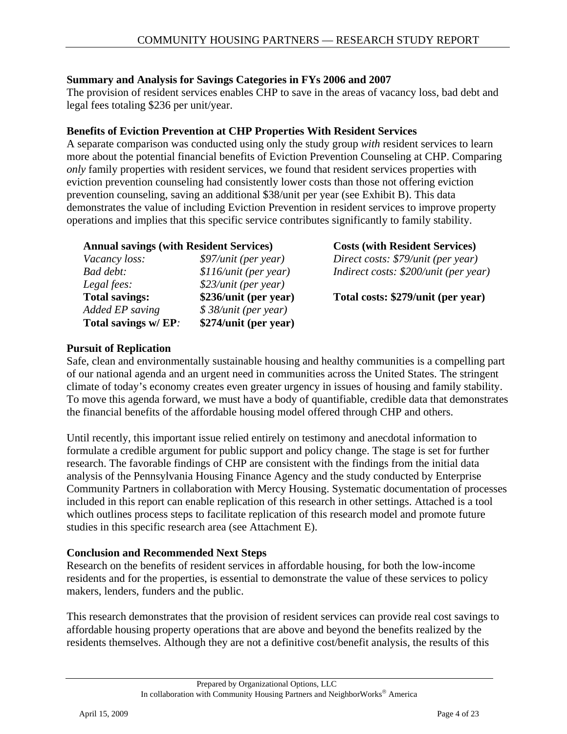#### **Summary and Analysis for Savings Categories in FYs 2006 and 2007**

The provision of resident services enables CHP to save in the areas of vacancy loss, bad debt and legal fees totaling \$236 per unit/year.

#### **Benefits of Eviction Prevention at CHP Properties With Resident Services**

A separate comparison was conducted using only the study group *with* resident services to learn more about the potential financial benefits of Eviction Prevention Counseling at CHP. Comparing *only* family properties with resident services, we found that resident services properties with eviction prevention counseling had consistently lower costs than those not offering eviction prevention counseling, saving an additional \$38/unit per year (see Exhibit B). This data demonstrates the value of including Eviction Prevention in resident services to improve property operations and implies that this specific service contributes significantly to family stability.

| <b>Annual savings (with Resident Services)</b> |                       |  |  |
|------------------------------------------------|-----------------------|--|--|
| Vacancy loss:                                  | \$97/unit (per year)  |  |  |
| Bad debt:                                      | \$116/unit (per year) |  |  |
| Legal fees:                                    | \$23/unit (per year)  |  |  |
| <b>Total savings:</b>                          | \$236/unit (per year) |  |  |
| Added EP saving                                | \$38/unit (per year)  |  |  |
| Total savings w/ EP:                           | \$274/unit (per year) |  |  |

**Annual savings (with Resident Services) Costs (with Resident Services)** *Vacancy loss: \$97/unit (per year) Direct costs: \$79/unit (per year) Badirect costs: \$200/unit (per year)* 

Total costs: \$279/unit (per year)

#### **Pursuit of Replication**

Safe, clean and environmentally sustainable housing and healthy communities is a compelling part of our national agenda and an urgent need in communities across the United States. The stringent climate of today's economy creates even greater urgency in issues of housing and family stability. To move this agenda forward, we must have a body of quantifiable, credible data that demonstrates the financial benefits of the affordable housing model offered through CHP and others.

Until recently, this important issue relied entirely on testimony and anecdotal information to formulate a credible argument for public support and policy change. The stage is set for further research. The favorable findings of CHP are consistent with the findings from the initial data analysis of the Pennsylvania Housing Finance Agency and the study conducted by Enterprise Community Partners in collaboration with Mercy Housing. Systematic documentation of processes included in this report can enable replication of this research in other settings. Attached is a tool which outlines process steps to facilitate replication of this research model and promote future studies in this specific research area (see Attachment E).

#### **Conclusion and Recommended Next Steps**

Research on the benefits of resident services in affordable housing, for both the low-income residents and for the properties, is essential to demonstrate the value of these services to policy makers, lenders, funders and the public.

This research demonstrates that the provision of resident services can provide real cost savings to affordable housing property operations that are above and beyond the benefits realized by the residents themselves. Although they are not a definitive cost/benefit analysis, the results of this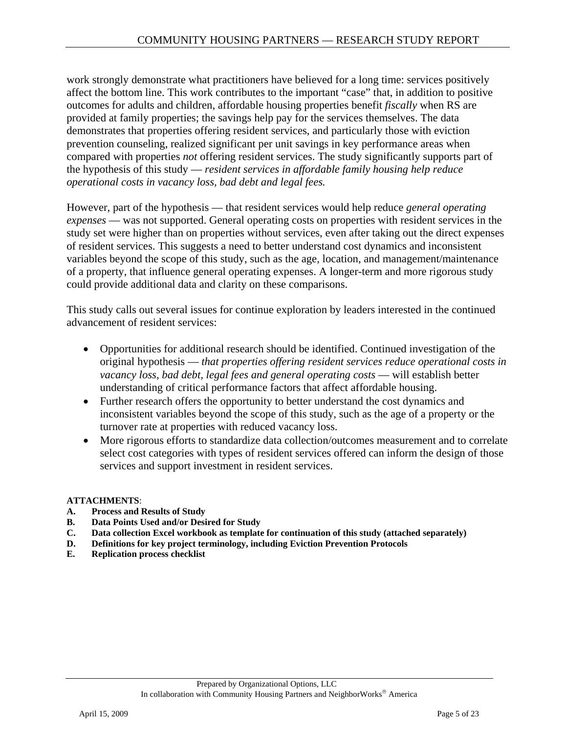work strongly demonstrate what practitioners have believed for a long time: services positively affect the bottom line. This work contributes to the important "case" that, in addition to positive outcomes for adults and children, affordable housing properties benefit *fiscally* when RS are provided at family properties; the savings help pay for the services themselves. The data demonstrates that properties offering resident services, and particularly those with eviction prevention counseling, realized significant per unit savings in key performance areas when compared with properties *not* offering resident services. The study significantly supports part of the hypothesis of this study — *resident services in affordable family housing help reduce operational costs in vacancy loss, bad debt and legal fees.*

However, part of the hypothesis — that resident services would help reduce *general operating expenses* — was not supported. General operating costs on properties with resident services in the study set were higher than on properties without services, even after taking out the direct expenses of resident services. This suggests a need to better understand cost dynamics and inconsistent variables beyond the scope of this study, such as the age, location, and management/maintenance of a property, that influence general operating expenses. A longer-term and more rigorous study could provide additional data and clarity on these comparisons.

This study calls out several issues for continue exploration by leaders interested in the continued advancement of resident services:

- Opportunities for additional research should be identified. Continued investigation of the original hypothesis — *that properties offering resident services reduce operational costs in vacancy loss, bad debt, legal fees and general operating costs* — will establish better understanding of critical performance factors that affect affordable housing.
- Further research offers the opportunity to better understand the cost dynamics and inconsistent variables beyond the scope of this study, such as the age of a property or the turnover rate at properties with reduced vacancy loss.
- More rigorous efforts to standardize data collection/outcomes measurement and to correlate select cost categories with types of resident services offered can inform the design of those services and support investment in resident services.

#### **ATTACHMENTS**:

- **A. Process and Results of Study**
- **B. Data Points Used and/or Desired for Study**
- **C. Data collection Excel workbook as template for continuation of this study (attached separately)**
- **D. Definitions for key project terminology, including Eviction Prevention Protocols**
- **E. Replication process checklist**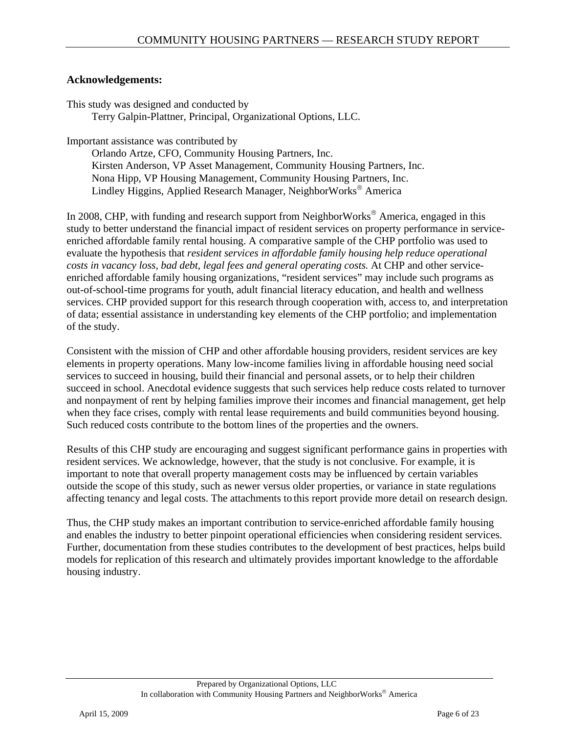#### **Acknowledgements:**

This study was designed and conducted by Terry Galpin-Plattner, Principal, Organizational Options, LLC.

Important assistance was contributed by

Orlando Artze, CFO, Community Housing Partners, Inc. Kirsten Anderson, VP Asset Management, Community Housing Partners, Inc. Nona Hipp, VP Housing Management, Community Housing Partners, Inc. Lindley Higgins, Applied Research Manager, NeighborWorks® America

In 2008, CHP, with funding and research support from NeighborWorks<sup>®</sup> America, engaged in this study to better understand the financial impact of resident services on property performance in serviceenriched affordable family rental housing. A comparative sample of the CHP portfolio was used to evaluate the hypothesis that *resident services in affordable family housing help reduce operational costs in vacancy loss, bad debt, legal fees and general operating costs.* At CHP and other serviceenriched affordable family housing organizations, "resident services" may include such programs as out-of-school-time programs for youth, adult financial literacy education, and health and wellness services. CHP provided support for this research through cooperation with, access to, and interpretation of data; essential assistance in understanding key elements of the CHP portfolio; and implementation of the study.

Consistent with the mission of CHP and other affordable housing providers, resident services are key elements in property operations. Many low-income families living in affordable housing need social services to succeed in housing, build their financial and personal assets, or to help their children succeed in school. Anecdotal evidence suggests that such services help reduce costs related to turnover and nonpayment of rent by helping families improve their incomes and financial management, get help when they face crises, comply with rental lease requirements and build communities beyond housing. Such reduced costs contribute to the bottom lines of the properties and the owners.

Results of this CHP study are encouraging and suggest significant performance gains in properties with resident services. We acknowledge, however, that the study is not conclusive. For example, it is important to note that overall property management costs may be influenced by certain variables outside the scope of this study, such as newer versus older properties, or variance in state regulations affecting tenancy and legal costs. The attachments to this report provide more detail on research design.

Thus, the CHP study makes an important contribution to service-enriched affordable family housing and enables the industry to better pinpoint operational efficiencies when considering resident services. Further, documentation from these studies contributes to the development of best practices, helps build models for replication of this research and ultimately provides important knowledge to the affordable housing industry.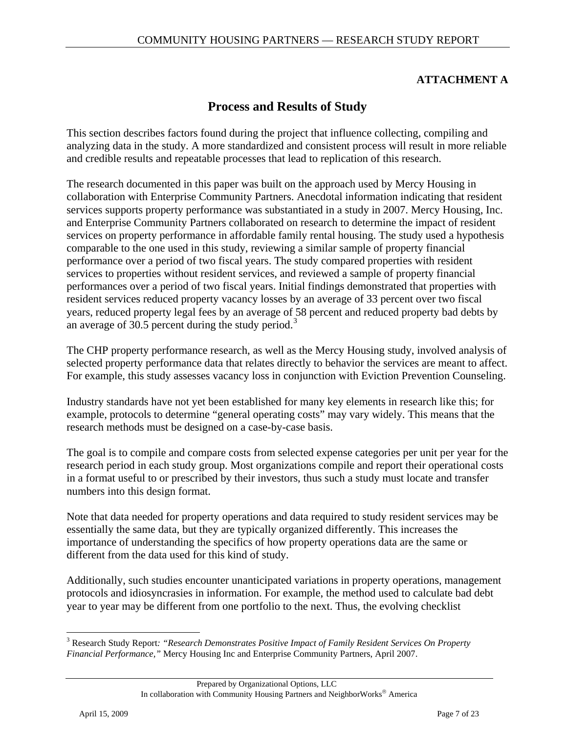### **ATTACHMENT A**

# **Process and Results of Study**

<span id="page-6-0"></span>This section describes factors found during the project that influence collecting, compiling and analyzing data in the study. A more standardized and consistent process will result in more reliable and credible results and repeatable processes that lead to replication of this research.

The research documented in this paper was built on the approach used by Mercy Housing in collaboration with Enterprise Community Partners. Anecdotal information indicating that resident services supports property performance was substantiated in a study in 2007. Mercy Housing, Inc. and Enterprise Community Partners collaborated on research to determine the impact of resident services on property performance in affordable family rental housing. The study used a hypothesis comparable to the one used in this study, reviewing a similar sample of property financial performance over a period of two fiscal years. The study compared properties with resident services to properties without resident services, and reviewed a sample of property financial performances over a period of two fiscal years. Initial findings demonstrated that properties with resident services reduced property vacancy losses by an average of 33 percent over two fiscal years, reduced property legal fees by an average of 58 percent and reduced property bad debts by an average of  $30.5$  $30.5$  percent during the study period.<sup>3</sup>

The CHP property performance research, as well as the Mercy Housing study, involved analysis of selected property performance data that relates directly to behavior the services are meant to affect. For example, this study assesses vacancy loss in conjunction with Eviction Prevention Counseling.

Industry standards have not yet been established for many key elements in research like this; for example, protocols to determine "general operating costs" may vary widely. This means that the research methods must be designed on a case-by-case basis.

The goal is to compile and compare costs from selected expense categories per unit per year for the research period in each study group. Most organizations compile and report their operational costs in a format useful to or prescribed by their investors, thus such a study must locate and transfer numbers into this design format.

Note that data needed for property operations and data required to study resident services may be essentially the same data, but they are typically organized differently. This increases the importance of understanding the specifics of how property operations data are the same or different from the data used for this kind of study.

Additionally, such studies encounter unanticipated variations in property operations, management protocols and idiosyncrasies in information. For example, the method used to calculate bad debt year to year may be different from one portfolio to the next. Thus, the evolving checklist

 $\overline{a}$ 

<sup>&</sup>lt;sup>3</sup> Research Study Report: "Research Demonstrates Positive Impact of Family Resident Services On Property *Financial Performance,"* Mercy Housing Inc and Enterprise Community Partners, April 2007.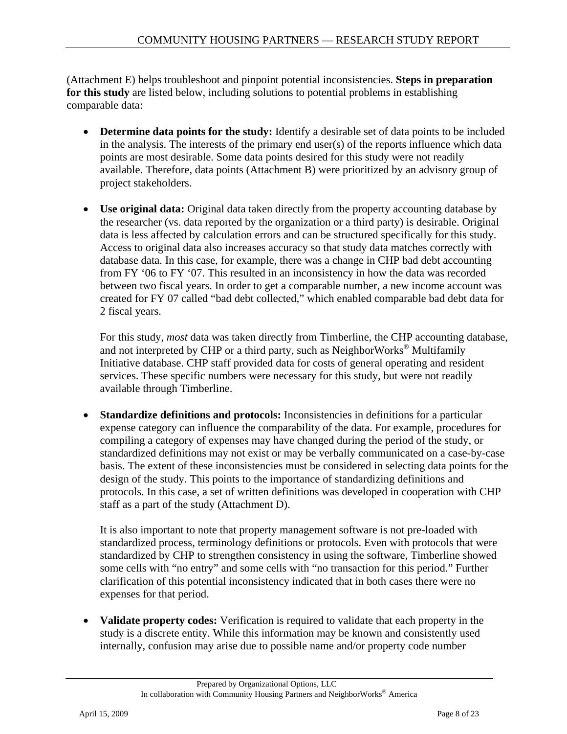(Attachment E) helps troubleshoot and pinpoint potential inconsistencies. **Steps in preparation for this study** are listed below, including solutions to potential problems in establishing comparable data:

- **Determine data points for the study:** Identify a desirable set of data points to be included in the analysis. The interests of the primary end user(s) of the reports influence which data points are most desirable. Some data points desired for this study were not readily available. Therefore, data points (Attachment B) were prioritized by an advisory group of project stakeholders.
- **Use original data:** Original data taken directly from the property accounting database by the researcher (vs. data reported by the organization or a third party) is desirable. Original data is less affected by calculation errors and can be structured specifically for this study. Access to original data also increases accuracy so that study data matches correctly with database data. In this case, for example, there was a change in CHP bad debt accounting from FY '06 to FY '07. This resulted in an inconsistency in how the data was recorded between two fiscal years. In order to get a comparable number, a new income account was created for FY 07 called "bad debt collected," which enabled comparable bad debt data for 2 fiscal years.

For this study, *most* data was taken directly from Timberline, the CHP accounting database, and not interpreted by CHP or a third party, such as NeighborWorks® Multifamily Initiative database. CHP staff provided data for costs of general operating and resident services. These specific numbers were necessary for this study, but were not readily available through Timberline.

**Standardize definitions and protocols:** Inconsistencies in definitions for a particular expense category can influence the comparability of the data. For example, procedures for compiling a category of expenses may have changed during the period of the study, or standardized definitions may not exist or may be verbally communicated on a case-by-case basis. The extent of these inconsistencies must be considered in selecting data points for the design of the study. This points to the importance of standardizing definitions and protocols. In this case, a set of written definitions was developed in cooperation with CHP staff as a part of the study (Attachment D).

It is also important to note that property management software is not pre-loaded with standardized process, terminology definitions or protocols. Even with protocols that were standardized by CHP to strengthen consistency in using the software, Timberline showed some cells with "no entry" and some cells with "no transaction for this period." Further clarification of this potential inconsistency indicated that in both cases there were no expenses for that period.

• **Validate property codes:** Verification is required to validate that each property in the study is a discrete entity. While this information may be known and consistently used internally, confusion may arise due to possible name and/or property code number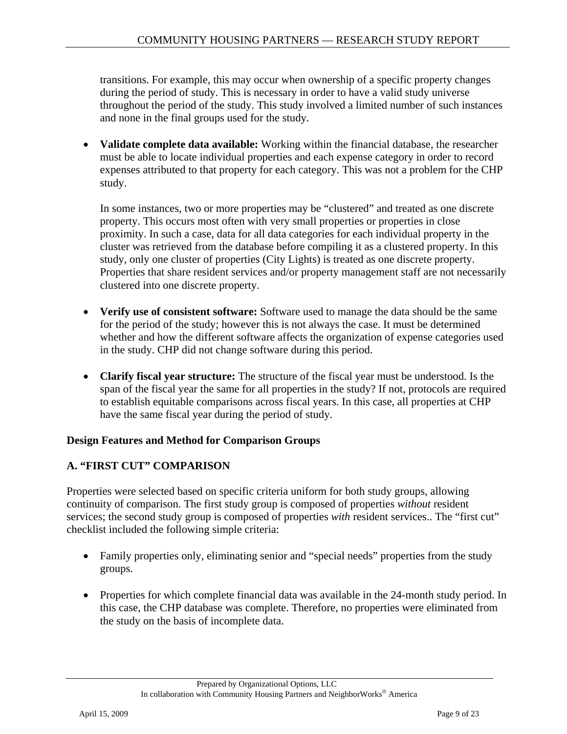transitions. For example, this may occur when ownership of a specific property changes during the period of study. This is necessary in order to have a valid study universe throughout the period of the study. This study involved a limited number of such instances and none in the final groups used for the study.

• **Validate complete data available:** Working within the financial database, the researcher must be able to locate individual properties and each expense category in order to record expenses attributed to that property for each category. This was not a problem for the CHP study.

In some instances, two or more properties may be "clustered" and treated as one discrete property. This occurs most often with very small properties or properties in close proximity. In such a case, data for all data categories for each individual property in the cluster was retrieved from the database before compiling it as a clustered property. In this study, only one cluster of properties (City Lights) is treated as one discrete property. Properties that share resident services and/or property management staff are not necessarily clustered into one discrete property.

- **Verify use of consistent software:** Software used to manage the data should be the same for the period of the study; however this is not always the case. It must be determined whether and how the different software affects the organization of expense categories used in the study. CHP did not change software during this period.
- **Clarify fiscal year structure:** The structure of the fiscal year must be understood. Is the span of the fiscal year the same for all properties in the study? If not, protocols are required to establish equitable comparisons across fiscal years. In this case, all properties at CHP have the same fiscal year during the period of study.

### **Design Features and Method for Comparison Groups**

### **A. "FIRST CUT" COMPARISON**

Properties were selected based on specific criteria uniform for both study groups, allowing continuity of comparison. The first study group is composed of properties *without* resident services; the second study group is composed of properties *with* resident services.. The "first cut" checklist included the following simple criteria:

- Family properties only, eliminating senior and "special needs" properties from the study groups.
- Properties for which complete financial data was available in the 24-month study period. In this case, the CHP database was complete. Therefore, no properties were eliminated from the study on the basis of incomplete data.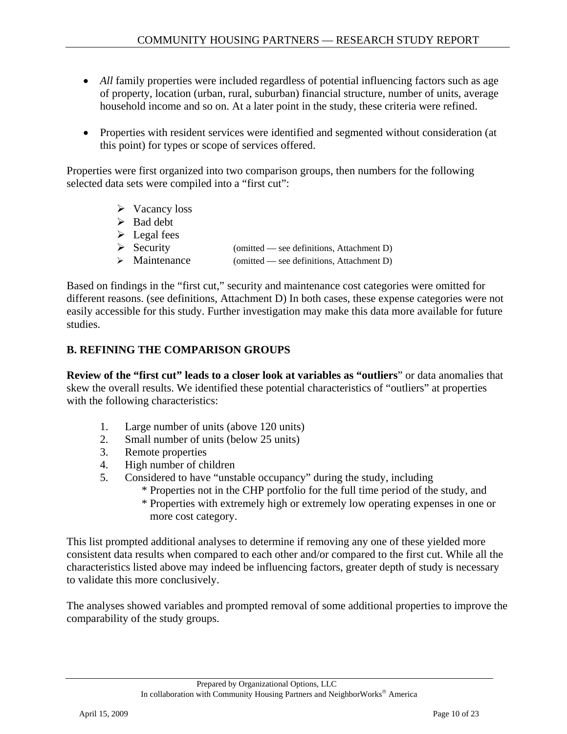- *All* family properties were included regardless of potential influencing factors such as age of property, location (urban, rural, suburban) financial structure, number of units, average household income and so on. At a later point in the study, these criteria were refined.
- Properties with resident services were identified and segmented without consideration (at this point) for types or scope of services offered.

Properties were first organized into two comparison groups, then numbers for the following selected data sets were compiled into a "first cut":

- $\triangleright$  Vacancy loss  $\triangleright$  Bad debt  $\triangleright$  Legal fees  $\triangleright$  Security (omitted — see definitions, Attachment D)  $\triangleright$  Maintenance (omitted — see definitions, Attachment D)
- 

Based on findings in the "first cut," security and maintenance cost categories were omitted for different reasons. (see definitions, Attachment D) In both cases, these expense categories were not easily accessible for this study. Further investigation may make this data more available for future studies.

## **B. REFINING THE COMPARISON GROUPS**

**Review of the "first cut" leads to a closer look at variables as "outliers**" or data anomalies that skew the overall results. We identified these potential characteristics of "outliers" at properties with the following characteristics:

- 1. Large number of units (above 120 units)
- 2. Small number of units (below 25 units)
- 3. Remote properties
- 4. High number of children
- 5. Considered to have "unstable occupancy" during the study, including
	- \* Properties not in the CHP portfolio for the full time period of the study, and
	- \* Properties with extremely high or extremely low operating expenses in one or more cost category.

This list prompted additional analyses to determine if removing any one of these yielded more consistent data results when compared to each other and/or compared to the first cut. While all the characteristics listed above may indeed be influencing factors, greater depth of study is necessary to validate this more conclusively.

The analyses showed variables and prompted removal of some additional properties to improve the comparability of the study groups.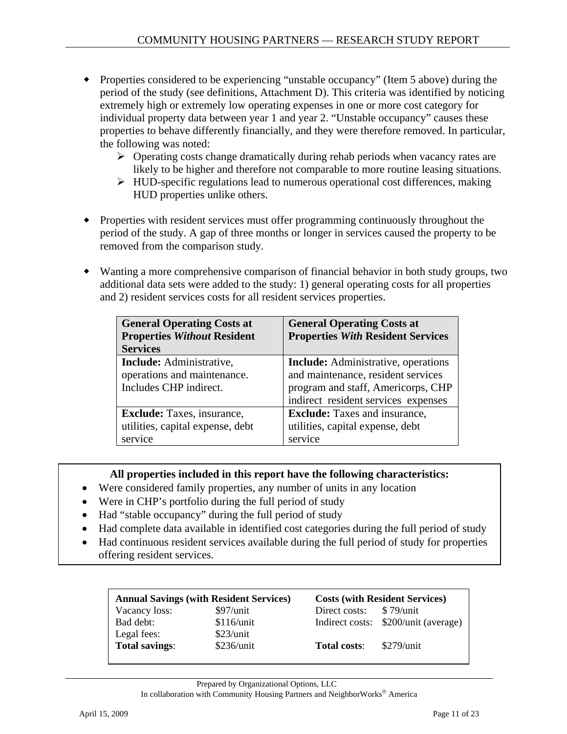- Properties considered to be experiencing "unstable occupancy" (Item 5 above) during the period of the study (see definitions, Attachment D). This criteria was identified by noticing extremely high or extremely low operating expenses in one or more cost category for individual property data between year 1 and year 2. "Unstable occupancy" causes these properties to behave differently financially, and they were therefore removed. In particular, the following was noted:
	- $\triangleright$  Operating costs change dramatically during rehab periods when vacancy rates are likely to be higher and therefore not comparable to more routine leasing situations.
	- $\triangleright$  HUD-specific regulations lead to numerous operational cost differences, making HUD properties unlike others.
- Properties with resident services must offer programming continuously throughout the period of the study. A gap of three months or longer in services caused the property to be removed from the comparison study.
- Wanting a more comprehensive comparison of financial behavior in both study groups, two additional data sets were added to the study: 1) general operating costs for all properties and 2) resident services costs for all resident services properties.

| <b>General Operating Costs at</b><br><b>Properties Without Resident</b> | <b>General Operating Costs at</b><br><b>Properties With Resident Services</b> |
|-------------------------------------------------------------------------|-------------------------------------------------------------------------------|
| <b>Services</b>                                                         |                                                                               |
| Include: Administrative,                                                | <b>Include:</b> Administrative, operations                                    |
| operations and maintenance.                                             | and maintenance, resident services                                            |
| Includes CHP indirect.                                                  | program and staff, Americorps, CHP                                            |
|                                                                         | indirect resident services expenses                                           |
| <b>Exclude:</b> Taxes, insurance,                                       | <b>Exclude:</b> Taxes and insurance,                                          |
| utilities, capital expense, debt                                        | utilities, capital expense, debt                                              |
| service                                                                 | service                                                                       |

#### **All properties included in this report have the following characteristics:**

- Were considered family properties, any number of units in any location
- Were in CHP's portfolio during the full period of study
- Had "stable occupancy" during the full period of study
- Had complete data available in identified cost categories during the full period of study
- Had continuous resident services available during the full period of study for properties offering resident services.

| <b>Annual Savings (with Resident Services)</b> |             | <b>Costs (with Resident Services)</b> |                                      |  |
|------------------------------------------------|-------------|---------------------------------------|--------------------------------------|--|
| Vacancy loss:                                  | $$97/$ unit | Direct costs: \$79/unit               |                                      |  |
| Bad debt:                                      | \$116/unit  |                                       | Indirect costs: \$200/unit (average) |  |
| Legal fees:                                    | \$23/unit   |                                       |                                      |  |
| <b>Total savings:</b>                          | \$236/unit  | <b>Total costs:</b>                   | $$279/$ unit                         |  |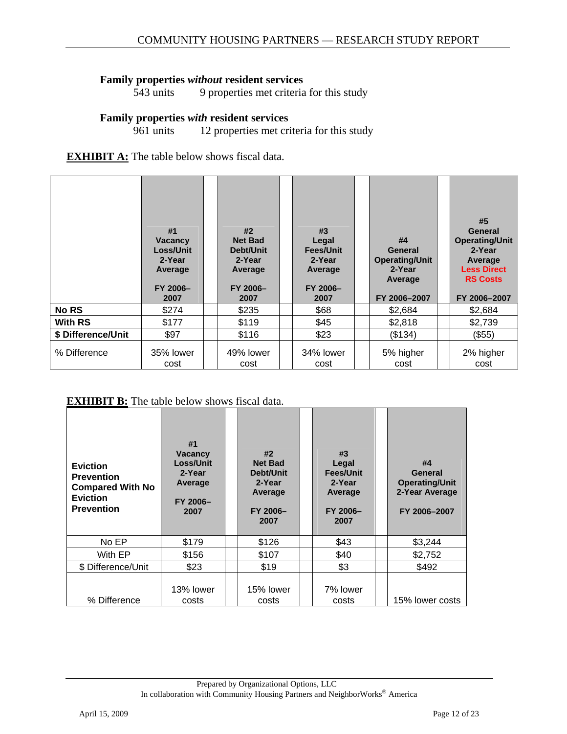# **Family properties** *without* **resident services 543 units 9 properties met criteria**

9 properties met criteria for this study

#### **Family properties** *with* **resident services**

961 units 12 properties met criteria for this study

#### **EXHIBIT A:** The table below shows fiscal data.

|                    | #1<br><b>Vacancy</b><br><b>Loss/Unit</b><br>2-Year<br>Average<br>FY 2006-<br>2007 | #2<br><b>Net Bad</b><br>Debt/Unit<br>2-Year<br>Average<br>FY 2006-<br>2007 | #3<br>Legal<br>Fees/Unit<br>2-Year<br>Average<br>FY 2006-<br>2007 | #4<br>General<br><b>Operating/Unit</b><br>2-Year<br>Average<br>FY 2006-2007 | #5<br>General<br><b>Operating/Unit</b><br>2-Year<br>Average<br><b>Less Direct</b><br><b>RS Costs</b><br>FY 2006-2007 |
|--------------------|-----------------------------------------------------------------------------------|----------------------------------------------------------------------------|-------------------------------------------------------------------|-----------------------------------------------------------------------------|----------------------------------------------------------------------------------------------------------------------|
| <b>No RS</b>       | \$274                                                                             | \$235                                                                      | \$68                                                              | \$2,684                                                                     | \$2,684                                                                                                              |
| <b>With RS</b>     | \$177                                                                             | \$119                                                                      | \$45                                                              | \$2,818                                                                     | \$2,739                                                                                                              |
| \$ Difference/Unit | \$97                                                                              | \$116                                                                      | \$23                                                              | (\$134)                                                                     | (\$55)                                                                                                               |
| % Difference       | 35% lower<br>cost                                                                 | 49% lower<br>cost                                                          | 34% lower<br>cost                                                 | 5% higher<br>cost                                                           | 2% higher<br>cost                                                                                                    |

#### **EXHIBIT B:** The table below shows fiscal data.

| <b>Eviction</b><br><b>Prevention</b><br><b>Compared With No</b><br><b>Eviction</b><br><b>Prevention</b> | #1<br><b>Vacancy</b><br>Loss/Unit<br>2-Year<br>Average<br>FY 2006-<br>2007 | #2<br><b>Net Bad</b><br>Debt/Unit<br>2-Year<br>Average<br>FY 2006-<br>2007 | #3<br>Legal<br>Fees/Unit<br>2-Year<br>Average<br>FY 2006-<br>2007 | #4<br>General<br><b>Operating/Unit</b><br>2-Year Average<br>FY 2006-2007 |
|---------------------------------------------------------------------------------------------------------|----------------------------------------------------------------------------|----------------------------------------------------------------------------|-------------------------------------------------------------------|--------------------------------------------------------------------------|
| No EP                                                                                                   | \$179                                                                      | \$126                                                                      | \$43                                                              | \$3,244                                                                  |
| With EP                                                                                                 | \$156                                                                      | \$107                                                                      | \$40                                                              | \$2,752                                                                  |
| \$ Difference/Unit                                                                                      | \$23                                                                       | \$19                                                                       | \$3                                                               | \$492                                                                    |
| % Difference                                                                                            | 13% lower<br>costs                                                         | 15% lower<br>costs                                                         | 7% lower<br>costs                                                 | 15% lower costs                                                          |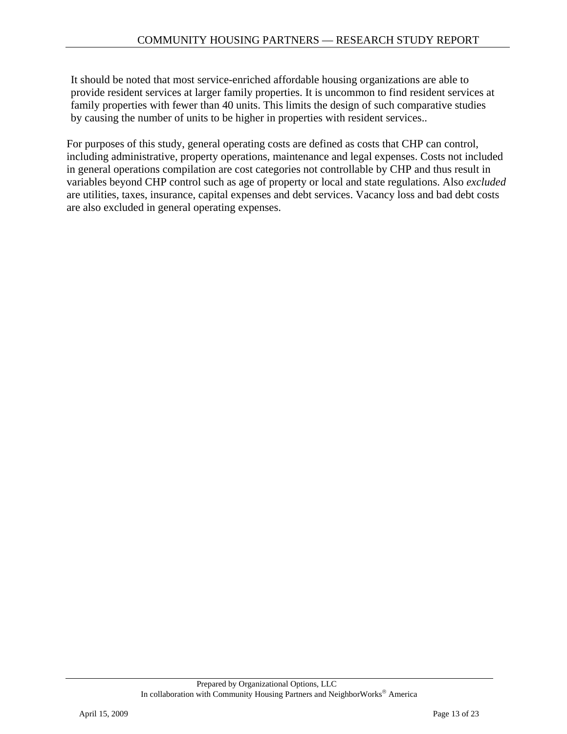It should be noted that most service-enriched affordable housing organizations are able to provide resident services at larger family properties. It is uncommon to find resident services at family properties with fewer than 40 units. This limits the design of such comparative studies by causing the number of units to be higher in properties with resident services..

For purposes of this study, general operating costs are defined as costs that CHP can control, including administrative, property operations, maintenance and legal expenses. Costs not included in general operations compilation are cost categories not controllable by CHP and thus result in variables beyond CHP control such as age of property or local and state regulations. Also *excluded* are utilities, taxes, insurance, capital expenses and debt services. Vacancy loss and bad debt costs are also excluded in general operating expenses.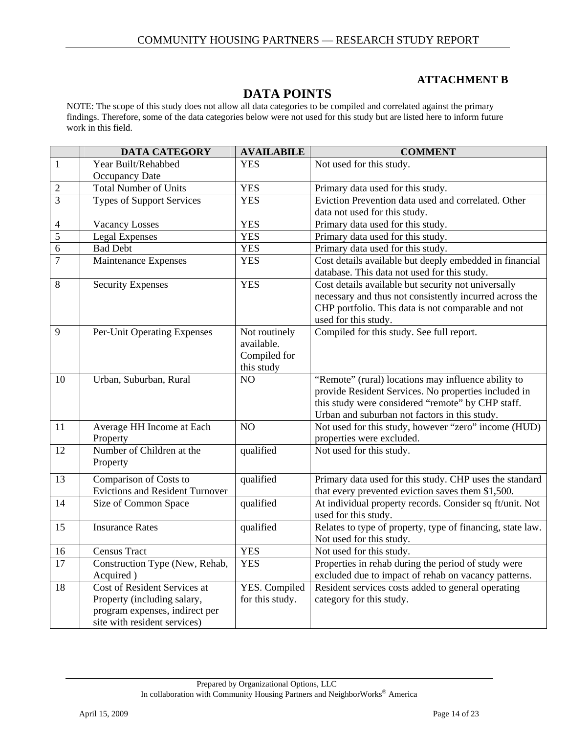#### **ATTACHMENT B**

# **DATA POINTS**

NOTE: The scope of this study does not allow all data categories to be compiled and correlated against the primary findings. Therefore, some of the data categories below were not used for this study but are listed here to inform future work in this field.

|                | <b>DATA CATEGORY</b>                   | <b>AVAILABILE</b> | <b>COMMENT</b>                                             |
|----------------|----------------------------------------|-------------------|------------------------------------------------------------|
| $\mathbf{1}$   | Year Built/Rehabbed                    | <b>YES</b>        | Not used for this study.                                   |
|                | <b>Occupancy Date</b>                  |                   |                                                            |
| $\overline{2}$ | <b>Total Number of Units</b>           | <b>YES</b>        | Primary data used for this study.                          |
| $\overline{3}$ | <b>Types of Support Services</b>       | <b>YES</b>        | Eviction Prevention data used and correlated. Other        |
|                |                                        |                   | data not used for this study.                              |
| 4              | <b>Vacancy Losses</b>                  | <b>YES</b>        | Primary data used for this study.                          |
| 5              | Legal Expenses                         | <b>YES</b>        | Primary data used for this study.                          |
| 6              | <b>Bad Debt</b>                        | <b>YES</b>        | Primary data used for this study.                          |
| $\overline{7}$ | Maintenance Expenses                   | <b>YES</b>        | Cost details available but deeply embedded in financial    |
|                |                                        |                   | database. This data not used for this study.               |
| 8              | <b>Security Expenses</b>               | <b>YES</b>        | Cost details available but security not universally        |
|                |                                        |                   | necessary and thus not consistently incurred across the    |
|                |                                        |                   | CHP portfolio. This data is not comparable and not         |
|                |                                        |                   | used for this study.                                       |
| $\overline{9}$ | Per-Unit Operating Expenses            | Not routinely     | Compiled for this study. See full report.                  |
|                |                                        | available.        |                                                            |
|                |                                        | Compiled for      |                                                            |
|                |                                        | this study        |                                                            |
| 10             | Urban, Suburban, Rural                 | NO                | "Remote" (rural) locations may influence ability to        |
|                |                                        |                   | provide Resident Services. No properties included in       |
|                |                                        |                   | this study were considered "remote" by CHP staff.          |
|                |                                        |                   | Urban and suburban not factors in this study.              |
| 11             | Average HH Income at Each              | NO                | Not used for this study, however "zero" income (HUD)       |
|                | Property                               |                   | properties were excluded.                                  |
| 12             | Number of Children at the              | qualified         | Not used for this study.                                   |
|                | Property                               |                   |                                                            |
| 13             | Comparison of Costs to                 | qualified         | Primary data used for this study. CHP uses the standard    |
|                | <b>Evictions and Resident Turnover</b> |                   | that every prevented eviction saves them \$1,500.          |
| 14             | Size of Common Space                   | qualified         | At individual property records. Consider sq ft/unit. Not   |
|                |                                        |                   | used for this study.                                       |
| 15             | <b>Insurance Rates</b>                 | qualified         | Relates to type of property, type of financing, state law. |
|                |                                        |                   | Not used for this study.                                   |
| 16             | Census Tract                           | <b>YES</b>        | Not used for this study.                                   |
| 17             | Construction Type (New, Rehab,         | <b>YES</b>        | Properties in rehab during the period of study were        |
|                | Acquired)                              |                   | excluded due to impact of rehab on vacancy patterns.       |
| 18             | <b>Cost of Resident Services at</b>    | YES. Compiled     | Resident services costs added to general operating         |
|                | Property (including salary,            | for this study.   | category for this study.                                   |
|                | program expenses, indirect per         |                   |                                                            |
|                | site with resident services)           |                   |                                                            |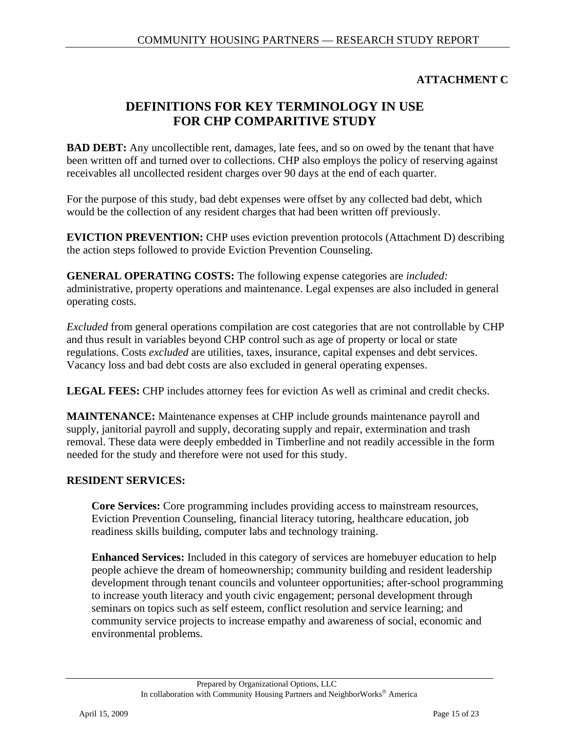## **ATTACHMENT C**

# **DEFINITIONS FOR KEY TERMINOLOGY IN USE FOR CHP COMPARITIVE STUDY**

**BAD DEBT:** Any uncollectible rent, damages, late fees, and so on owed by the tenant that have been written off and turned over to collections. CHP also employs the policy of reserving against receivables all uncollected resident charges over 90 days at the end of each quarter.

For the purpose of this study, bad debt expenses were offset by any collected bad debt, which would be the collection of any resident charges that had been written off previously.

**EVICTION PREVENTION:** CHP uses eviction prevention protocols (Attachment D) describing the action steps followed to provide Eviction Prevention Counseling.

**GENERAL OPERATING COSTS:** The following expense categories are *included:*  administrative, property operations and maintenance. Legal expenses are also included in general operating costs.

*Excluded* from general operations compilation are cost categories that are not controllable by CHP and thus result in variables beyond CHP control such as age of property or local or state regulations. Costs *excluded* are utilities, taxes, insurance, capital expenses and debt services. Vacancy loss and bad debt costs are also excluded in general operating expenses.

**LEGAL FEES:** CHP includes attorney fees for eviction As well as criminal and credit checks.

**MAINTENANCE:** Maintenance expenses at CHP include grounds maintenance payroll and supply, janitorial payroll and supply, decorating supply and repair, extermination and trash removal. These data were deeply embedded in Timberline and not readily accessible in the form needed for the study and therefore were not used for this study.

#### **RESIDENT SERVICES:**

**Core Services:** Core programming includes providing access to mainstream resources, Eviction Prevention Counseling, financial literacy tutoring, healthcare education, job readiness skills building, computer labs and technology training.

**Enhanced Services:** Included in this category of services are homebuyer education to help people achieve the dream of homeownership; community building and resident leadership development through tenant councils and volunteer opportunities; after-school programming to increase youth literacy and youth civic engagement; personal development through seminars on topics such as self esteem, conflict resolution and service learning; and community service projects to increase empathy and awareness of social, economic and environmental problems.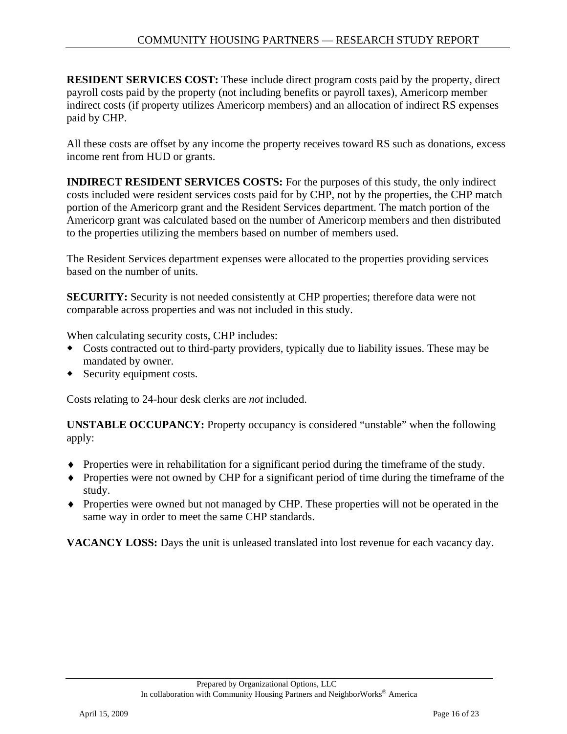**RESIDENT SERVICES COST:** These include direct program costs paid by the property, direct payroll costs paid by the property (not including benefits or payroll taxes), Americorp member indirect costs (if property utilizes Americorp members) and an allocation of indirect RS expenses paid by CHP.

All these costs are offset by any income the property receives toward RS such as donations, excess income rent from HUD or grants.

**INDIRECT RESIDENT SERVICES COSTS:** For the purposes of this study, the only indirect costs included were resident services costs paid for by CHP, not by the properties, the CHP match portion of the Americorp grant and the Resident Services department. The match portion of the Americorp grant was calculated based on the number of Americorp members and then distributed to the properties utilizing the members based on number of members used.

The Resident Services department expenses were allocated to the properties providing services based on the number of units.

**SECURITY:** Security is not needed consistently at CHP properties; therefore data were not comparable across properties and was not included in this study.

When calculating security costs, CHP includes:

- Costs contracted out to third-party providers, typically due to liability issues. These may be mandated by owner.
- Security equipment costs.

Costs relating to 24-hour desk clerks are *not* included.

**UNSTABLE OCCUPANCY:** Property occupancy is considered "unstable" when the following apply:

- ♦ Properties were in rehabilitation for a significant period during the timeframe of the study.
- ♦ Properties were not owned by CHP for a significant period of time during the timeframe of the study.
- ♦ Properties were owned but not managed by CHP. These properties will not be operated in the same way in order to meet the same CHP standards.

**VACANCY LOSS:** Days the unit is unleased translated into lost revenue for each vacancy day.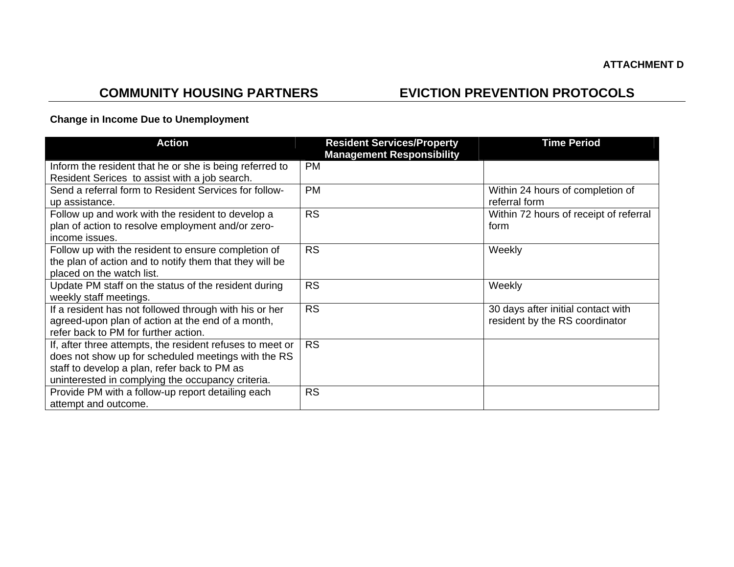# **COMMUNITY HOUSING PARTNERS EVICTION PREVENTION PROTOCOLS**

### **Change in Income Due to Unemployment**

| <b>Action</b>                                                                                                                                                                                                         | <b>Resident Services/Property</b><br><b>Management Responsibility</b> | <b>Time Period</b>                                                   |
|-----------------------------------------------------------------------------------------------------------------------------------------------------------------------------------------------------------------------|-----------------------------------------------------------------------|----------------------------------------------------------------------|
| Inform the resident that he or she is being referred to<br>Resident Serices to assist with a job search.                                                                                                              | <b>PM</b>                                                             |                                                                      |
| Send a referral form to Resident Services for follow-<br>up assistance.                                                                                                                                               | <b>PM</b>                                                             | Within 24 hours of completion of<br>referral form                    |
| Follow up and work with the resident to develop a<br>plan of action to resolve employment and/or zero-<br>income issues.                                                                                              | <b>RS</b>                                                             | Within 72 hours of receipt of referral<br>form                       |
| Follow up with the resident to ensure completion of<br>the plan of action and to notify them that they will be<br>placed on the watch list.                                                                           | <b>RS</b>                                                             | Weekly                                                               |
| Update PM staff on the status of the resident during<br>weekly staff meetings.                                                                                                                                        | <b>RS</b>                                                             | Weekly                                                               |
| If a resident has not followed through with his or her<br>agreed-upon plan of action at the end of a month,<br>refer back to PM for further action.                                                                   | <b>RS</b>                                                             | 30 days after initial contact with<br>resident by the RS coordinator |
| If, after three attempts, the resident refuses to meet or<br>does not show up for scheduled meetings with the RS<br>staff to develop a plan, refer back to PM as<br>uninterested in complying the occupancy criteria. | <b>RS</b>                                                             |                                                                      |
| Provide PM with a follow-up report detailing each<br>attempt and outcome.                                                                                                                                             | <b>RS</b>                                                             |                                                                      |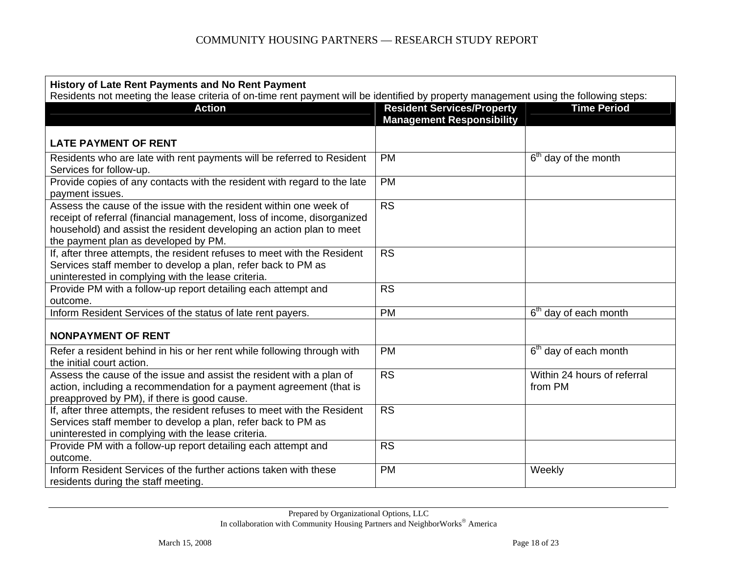| History of Late Rent Payments and No Rent Payment<br>Residents not meeting the lease criteria of on-time rent payment will be identified by property management using the following steps:                                                                    |                                                                       |                                        |  |  |
|---------------------------------------------------------------------------------------------------------------------------------------------------------------------------------------------------------------------------------------------------------------|-----------------------------------------------------------------------|----------------------------------------|--|--|
| <b>Action</b>                                                                                                                                                                                                                                                 | <b>Resident Services/Property</b><br><b>Management Responsibility</b> | <b>Time Period</b>                     |  |  |
| <b>LATE PAYMENT OF RENT</b>                                                                                                                                                                                                                                   |                                                                       |                                        |  |  |
| Residents who are late with rent payments will be referred to Resident<br>Services for follow-up.                                                                                                                                                             | <b>PM</b>                                                             | 6 <sup>th</sup> day of the month       |  |  |
| Provide copies of any contacts with the resident with regard to the late<br>payment issues.                                                                                                                                                                   | <b>PM</b>                                                             |                                        |  |  |
| Assess the cause of the issue with the resident within one week of<br>receipt of referral (financial management, loss of income, disorganized<br>household) and assist the resident developing an action plan to meet<br>the payment plan as developed by PM. | $\overline{\text{RS}}$                                                |                                        |  |  |
| If, after three attempts, the resident refuses to meet with the Resident<br>Services staff member to develop a plan, refer back to PM as<br>uninterested in complying with the lease criteria.                                                                | <b>RS</b>                                                             |                                        |  |  |
| Provide PM with a follow-up report detailing each attempt and<br>outcome.                                                                                                                                                                                     | <b>RS</b>                                                             |                                        |  |  |
| Inform Resident Services of the status of late rent payers.                                                                                                                                                                                                   | <b>PM</b>                                                             | 6 <sup>th</sup> day of each month      |  |  |
| <b>NONPAYMENT OF RENT</b>                                                                                                                                                                                                                                     |                                                                       |                                        |  |  |
| Refer a resident behind in his or her rent while following through with<br>the initial court action.                                                                                                                                                          | <b>PM</b>                                                             | 6 <sup>th</sup> day of each month      |  |  |
| Assess the cause of the issue and assist the resident with a plan of<br>action, including a recommendation for a payment agreement (that is<br>preapproved by PM), if there is good cause.                                                                    | <b>RS</b>                                                             | Within 24 hours of referral<br>from PM |  |  |
| If, after three attempts, the resident refuses to meet with the Resident<br>Services staff member to develop a plan, refer back to PM as<br>uninterested in complying with the lease criteria.                                                                | $\overline{\text{RS}}$                                                |                                        |  |  |
| Provide PM with a follow-up report detailing each attempt and<br>outcome.                                                                                                                                                                                     | <b>RS</b>                                                             |                                        |  |  |
| Inform Resident Services of the further actions taken with these<br>residents during the staff meeting.                                                                                                                                                       | <b>PM</b>                                                             | Weekly                                 |  |  |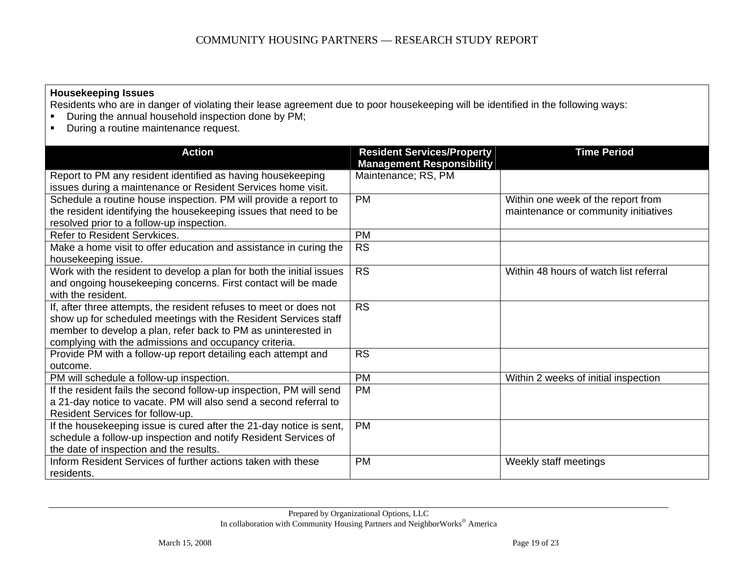#### **Housekeeping Issues**

Residents who are in danger of violating their lease agreement due to poor housekeeping will be identified in the following ways:

- **•** During the annual household inspection done by PM;
- **•** During a routine maintenance request.

| <b>Action</b>                                                        | <b>Resident Services/Property</b> | <b>Time Period</b>                     |
|----------------------------------------------------------------------|-----------------------------------|----------------------------------------|
|                                                                      | <b>Management Responsibility</b>  |                                        |
| Report to PM any resident identified as having housekeeping          | Maintenance; RS, PM               |                                        |
| issues during a maintenance or Resident Services home visit.         |                                   |                                        |
| Schedule a routine house inspection. PM will provide a report to     | <b>PM</b>                         | Within one week of the report from     |
| the resident identifying the housekeeping issues that need to be     |                                   | maintenance or community initiatives   |
| resolved prior to a follow-up inspection.                            |                                   |                                        |
| Refer to Resident Servkices.                                         | <b>PM</b>                         |                                        |
| Make a home visit to offer education and assistance in curing the    | <b>RS</b>                         |                                        |
| housekeeping issue.                                                  |                                   |                                        |
| Work with the resident to develop a plan for both the initial issues | <b>RS</b>                         | Within 48 hours of watch list referral |
| and ongoing housekeeping concerns. First contact will be made        |                                   |                                        |
| with the resident.                                                   |                                   |                                        |
| If, after three attempts, the resident refuses to meet or does not   | <b>RS</b>                         |                                        |
| show up for scheduled meetings with the Resident Services staff      |                                   |                                        |
| member to develop a plan, refer back to PM as uninterested in        |                                   |                                        |
| complying with the admissions and occupancy criteria.                |                                   |                                        |
| Provide PM with a follow-up report detailing each attempt and        | <b>RS</b>                         |                                        |
| outcome.                                                             |                                   |                                        |
| PM will schedule a follow-up inspection.                             | <b>PM</b>                         | Within 2 weeks of initial inspection   |
| If the resident fails the second follow-up inspection, PM will send  | <b>PM</b>                         |                                        |
| a 21-day notice to vacate. PM will also send a second referral to    |                                   |                                        |
| Resident Services for follow-up.                                     |                                   |                                        |
| If the housekeeping issue is cured after the 21-day notice is sent,  | <b>PM</b>                         |                                        |
| schedule a follow-up inspection and notify Resident Services of      |                                   |                                        |
| the date of inspection and the results.                              |                                   |                                        |
| Inform Resident Services of further actions taken with these         | <b>PM</b>                         | Weekly staff meetings                  |
| residents.                                                           |                                   |                                        |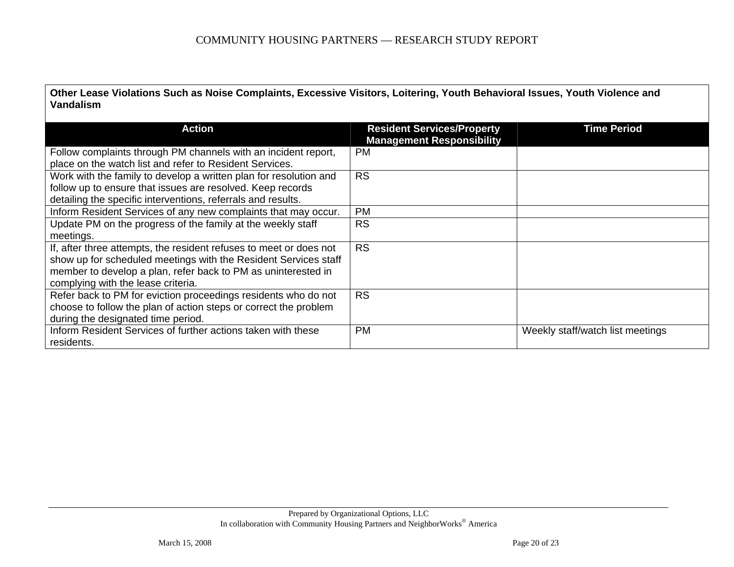**Other Lease Violations Such as Noise Complaints, Excessive Visitors, Loitering, Youth Behavioral Issues, Youth Violence and Vandalism** 

| <b>Action</b>                                                      | <b>Resident Services/Property</b><br><b>Management Responsibility</b> | <b>Time Period</b>               |
|--------------------------------------------------------------------|-----------------------------------------------------------------------|----------------------------------|
| Follow complaints through PM channels with an incident report,     | <b>PM</b>                                                             |                                  |
| place on the watch list and refer to Resident Services.            |                                                                       |                                  |
| Work with the family to develop a written plan for resolution and  | <b>RS</b>                                                             |                                  |
| follow up to ensure that issues are resolved. Keep records         |                                                                       |                                  |
| detailing the specific interventions, referrals and results.       |                                                                       |                                  |
| Inform Resident Services of any new complaints that may occur.     | <b>PM</b>                                                             |                                  |
| Update PM on the progress of the family at the weekly staff        | <b>RS</b>                                                             |                                  |
| meetings.                                                          |                                                                       |                                  |
| If, after three attempts, the resident refuses to meet or does not | <b>RS</b>                                                             |                                  |
| show up for scheduled meetings with the Resident Services staff    |                                                                       |                                  |
| member to develop a plan, refer back to PM as uninterested in      |                                                                       |                                  |
| complying with the lease criteria.                                 |                                                                       |                                  |
| Refer back to PM for eviction proceedings residents who do not     | <b>RS</b>                                                             |                                  |
| choose to follow the plan of action steps or correct the problem   |                                                                       |                                  |
| during the designated time period.                                 |                                                                       |                                  |
| Inform Resident Services of further actions taken with these       | <b>PM</b>                                                             | Weekly staff/watch list meetings |
| residents.                                                         |                                                                       |                                  |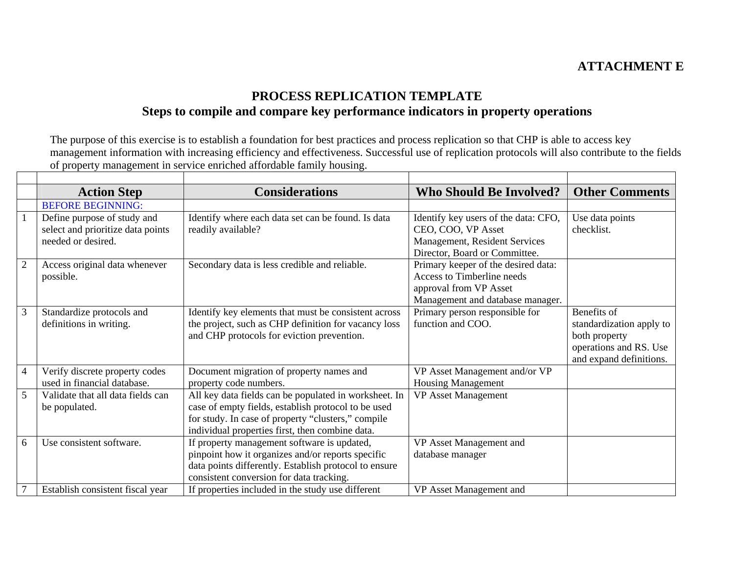# **ATTACHMENT E**

# **PROCESS REPLICATION TEMPLATE Steps to compile and compare key performance indicators in property operations**

The purpose of this exercise is to establish a foundation for best practices and process replication so that CHP is able to access key management information with increasing efficiency and effectiveness. Successful use of replication protocols will also contribute to the fields of property management in service enriched affordable family housing. 

|                | <b>Action Step</b>                                                                     | <b>Considerations</b>                                                                                                                                                                                                 | <b>Who Should Be Involved?</b>                                                                                                  | <b>Other Comments</b>                                                                                         |
|----------------|----------------------------------------------------------------------------------------|-----------------------------------------------------------------------------------------------------------------------------------------------------------------------------------------------------------------------|---------------------------------------------------------------------------------------------------------------------------------|---------------------------------------------------------------------------------------------------------------|
|                | <b>BEFORE BEGINNING:</b>                                                               |                                                                                                                                                                                                                       |                                                                                                                                 |                                                                                                               |
|                | Define purpose of study and<br>select and prioritize data points<br>needed or desired. | Identify where each data set can be found. Is data<br>readily available?                                                                                                                                              | Identify key users of the data: CFO,<br>CEO, COO, VP Asset<br>Management, Resident Services<br>Director, Board or Committee.    | Use data points<br>checklist.                                                                                 |
| $\overline{2}$ | Access original data whenever<br>possible.                                             | Secondary data is less credible and reliable.                                                                                                                                                                         | Primary keeper of the desired data:<br>Access to Timberline needs<br>approval from VP Asset<br>Management and database manager. |                                                                                                               |
| 3              | Standardize protocols and<br>definitions in writing.                                   | Identify key elements that must be consistent across<br>the project, such as CHP definition for vacancy loss<br>and CHP protocols for eviction prevention.                                                            | Primary person responsible for<br>function and COO.                                                                             | Benefits of<br>standardization apply to<br>both property<br>operations and RS. Use<br>and expand definitions. |
| $\overline{4}$ | Verify discrete property codes<br>used in financial database.                          | Document migration of property names and<br>property code numbers.                                                                                                                                                    | VP Asset Management and/or VP<br><b>Housing Management</b>                                                                      |                                                                                                               |
| 5              | Validate that all data fields can<br>be populated.                                     | All key data fields can be populated in worksheet. In<br>case of empty fields, establish protocol to be used<br>for study. In case of property "clusters," compile<br>individual properties first, then combine data. | <b>VP</b> Asset Management                                                                                                      |                                                                                                               |
| 6              | Use consistent software.                                                               | If property management software is updated,<br>pinpoint how it organizes and/or reports specific<br>data points differently. Establish protocol to ensure<br>consistent conversion for data tracking.                 | VP Asset Management and<br>database manager                                                                                     |                                                                                                               |
|                | Establish consistent fiscal year                                                       | If properties included in the study use different                                                                                                                                                                     | VP Asset Management and                                                                                                         |                                                                                                               |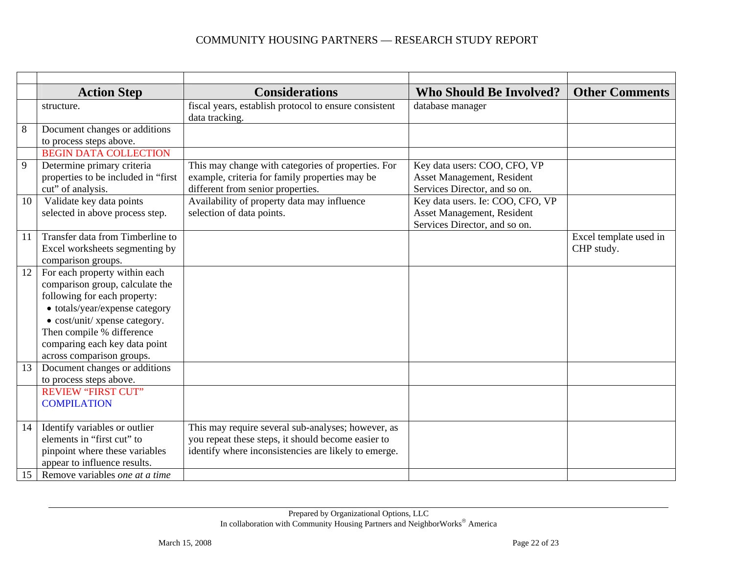#### COMMUNITY HOUSING PARTNERS — RESEARCH STUDY REPORT

|    | <b>Action Step</b>                                                                                                                                                                                                                                             | <b>Considerations</b>                                                                                                                                            | <b>Who Should Be Involved?</b>                                                                  | <b>Other Comments</b>                |
|----|----------------------------------------------------------------------------------------------------------------------------------------------------------------------------------------------------------------------------------------------------------------|------------------------------------------------------------------------------------------------------------------------------------------------------------------|-------------------------------------------------------------------------------------------------|--------------------------------------|
|    | structure.                                                                                                                                                                                                                                                     | fiscal years, establish protocol to ensure consistent<br>data tracking.                                                                                          | database manager                                                                                |                                      |
| 8  | Document changes or additions                                                                                                                                                                                                                                  |                                                                                                                                                                  |                                                                                                 |                                      |
|    | to process steps above.                                                                                                                                                                                                                                        |                                                                                                                                                                  |                                                                                                 |                                      |
|    | <b>BEGIN DATA COLLECTION</b>                                                                                                                                                                                                                                   |                                                                                                                                                                  |                                                                                                 |                                      |
| 9  | Determine primary criteria<br>properties to be included in "first<br>cut" of analysis.                                                                                                                                                                         | This may change with categories of properties. For<br>example, criteria for family properties may be<br>different from senior properties.                        | Key data users: COO, CFO, VP<br>Asset Management, Resident<br>Services Director, and so on.     |                                      |
| 10 | Validate key data points<br>selected in above process step.                                                                                                                                                                                                    | Availability of property data may influence<br>selection of data points.                                                                                         | Key data users. Ie: COO, CFO, VP<br>Asset Management, Resident<br>Services Director, and so on. |                                      |
| 11 | Transfer data from Timberline to<br>Excel worksheets segmenting by<br>comparison groups.                                                                                                                                                                       |                                                                                                                                                                  |                                                                                                 | Excel template used in<br>CHP study. |
| 12 | For each property within each<br>comparison group, calculate the<br>following for each property:<br>• totals/year/expense category<br>• cost/unit/ xpense category.<br>Then compile % difference<br>comparing each key data point<br>across comparison groups. |                                                                                                                                                                  |                                                                                                 |                                      |
| 13 | Document changes or additions<br>to process steps above.                                                                                                                                                                                                       |                                                                                                                                                                  |                                                                                                 |                                      |
|    | <b>REVIEW "FIRST CUT"</b><br><b>COMPILATION</b>                                                                                                                                                                                                                |                                                                                                                                                                  |                                                                                                 |                                      |
| 14 | Identify variables or outlier<br>elements in "first cut" to<br>pinpoint where these variables<br>appear to influence results.                                                                                                                                  | This may require several sub-analyses; however, as<br>you repeat these steps, it should become easier to<br>identify where inconsistencies are likely to emerge. |                                                                                                 |                                      |
| 15 | Remove variables one at a time                                                                                                                                                                                                                                 |                                                                                                                                                                  |                                                                                                 |                                      |